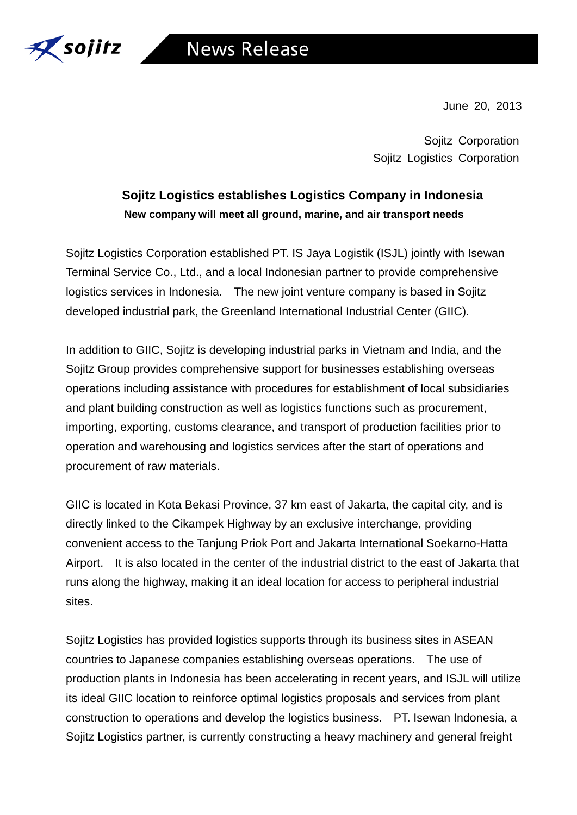

June 20, 2013

Sojitz Corporation Sojitz Logistics Corporation

# **Sojitz Logistics establishes Logistics Company in Indonesia New company will meet all ground, marine, and air transport needs**

Sojitz Logistics Corporation established PT. IS Jaya Logistik (ISJL) jointly with Isewan Terminal Service Co., Ltd., and a local Indonesian partner to provide comprehensive logistics services in Indonesia. The new joint venture company is based in Sojitz developed industrial park, the Greenland International Industrial Center (GIIC).

In addition to GIIC, Sojitz is developing industrial parks in Vietnam and India, and the Sojitz Group provides comprehensive support for businesses establishing overseas operations including assistance with procedures for establishment of local subsidiaries and plant building construction as well as logistics functions such as procurement, importing, exporting, customs clearance, and transport of production facilities prior to operation and warehousing and logistics services after the start of operations and procurement of raw materials.

GIIC is located in Kota Bekasi Province, 37 km east of Jakarta, the capital city, and is directly linked to the Cikampek Highway by an exclusive interchange, providing convenient access to the Tanjung Priok Port and Jakarta International Soekarno-Hatta Airport. It is also located in the center of the industrial district to the east of Jakarta that runs along the highway, making it an ideal location for access to peripheral industrial sites.

Sojitz Logistics has provided logistics supports through its business sites in ASEAN countries to Japanese companies establishing overseas operations. The use of production plants in Indonesia has been accelerating in recent years, and ISJL will utilize its ideal GIIC location to reinforce optimal logistics proposals and services from plant construction to operations and develop the logistics business. PT. Isewan Indonesia, a Sojitz Logistics partner, is currently constructing a heavy machinery and general freight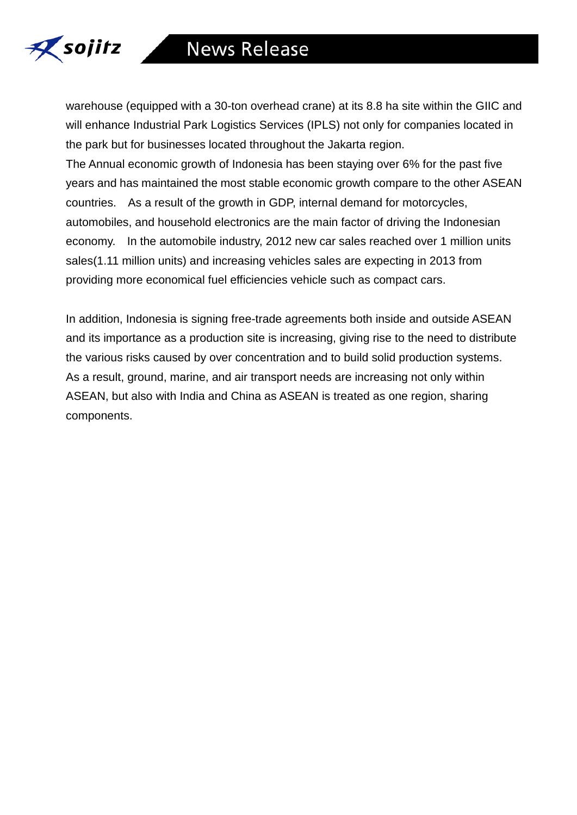

warehouse (equipped with a 30-ton overhead crane) at its 8.8 ha site within the GIIC and will enhance Industrial Park Logistics Services (IPLS) not only for companies located in the park but for businesses located throughout the Jakarta region.

The Annual economic growth of Indonesia has been staying over 6% for the past five years and has maintained the most stable economic growth compare to the other ASEAN countries. As a result of the growth in GDP, internal demand for motorcycles, automobiles, and household electronics are the main factor of driving the Indonesian economy. In the automobile industry, 2012 new car sales reached over 1 million units sales(1.11 million units) and increasing vehicles sales are expecting in 2013 from providing more economical fuel efficiencies vehicle such as compact cars.

In addition, Indonesia is signing free-trade agreements both inside and outside ASEAN and its importance as a production site is increasing, giving rise to the need to distribute the various risks caused by over concentration and to build solid production systems. As a result, ground, marine, and air transport needs are increasing not only within ASEAN, but also with India and China as ASEAN is treated as one region, sharing components.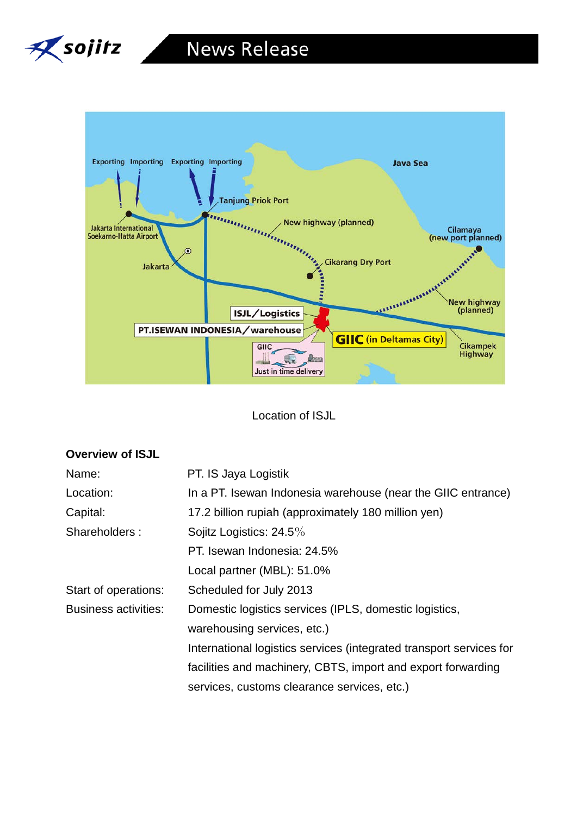



Location of ISJL

| Name:                       | PT. IS Jaya Logistik                                                |
|-----------------------------|---------------------------------------------------------------------|
| Location:                   | In a PT. Isewan Indonesia warehouse (near the GIIC entrance)        |
| Capital:                    | 17.2 billion rupiah (approximately 180 million yen)                 |
| Shareholders:               | Sojitz Logistics: $24.5\%$                                          |
|                             | PT. Isewan Indonesia: 24.5%                                         |
|                             | Local partner (MBL): 51.0%                                          |
| Start of operations:        | Scheduled for July 2013                                             |
| <b>Business activities:</b> | Domestic logistics services (IPLS, domestic logistics,              |
|                             | warehousing services, etc.)                                         |
|                             | International logistics services (integrated transport services for |
|                             | facilities and machinery, CBTS, import and export forwarding        |
|                             | services, customs clearance services, etc.)                         |

#### **Overview of ISJL**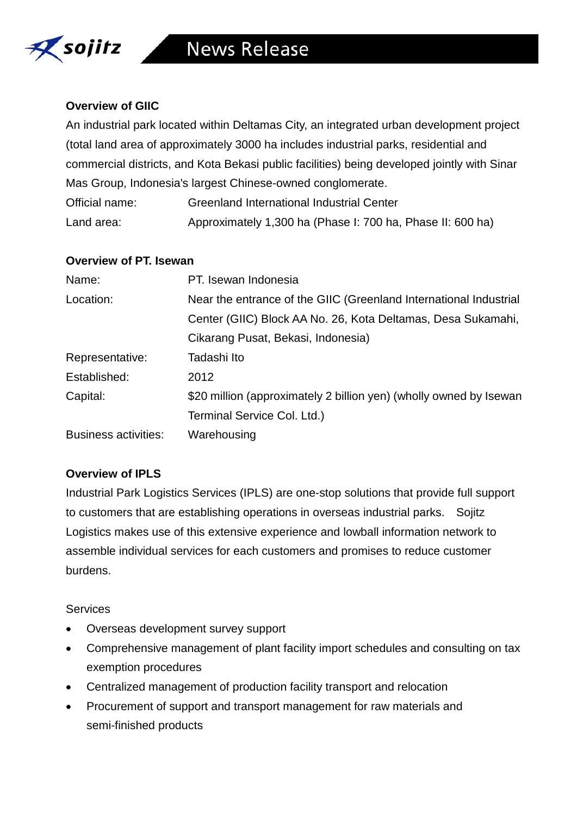

## **Overview of GIIC**

An industrial park located within Deltamas City, an integrated urban development project (total land area of approximately 3000 ha includes industrial parks, residential and commercial districts, and Kota Bekasi public facilities) being developed jointly with Sinar Mas Group, Indonesia's largest Chinese-owned conglomerate.

| Official name: | Greenland International Industrial Center                  |
|----------------|------------------------------------------------------------|
| Land area:     | Approximately 1,300 ha (Phase I: 700 ha, Phase II: 600 ha) |

### **Overview of PT. Isewan**

| Name:                       | PT. Isewan Indonesia                                               |
|-----------------------------|--------------------------------------------------------------------|
| Location:                   | Near the entrance of the GIIC (Greenland International Industrial  |
|                             | Center (GIIC) Block AA No. 26, Kota Deltamas, Desa Sukamahi,       |
|                             | Cikarang Pusat, Bekasi, Indonesia)                                 |
| Representative:             | Tadashi Ito                                                        |
| Established:                | 2012                                                               |
| Capital:                    | \$20 million (approximately 2 billion yen) (wholly owned by Isewan |
|                             | Terminal Service Col. Ltd.)                                        |
| <b>Business activities:</b> | Warehousing                                                        |

## **Overview of IPLS**

Industrial Park Logistics Services (IPLS) are one-stop solutions that provide full support to customers that are establishing operations in overseas industrial parks. Sojitz Logistics makes use of this extensive experience and lowball information network to assemble individual services for each customers and promises to reduce customer burdens.

## **Services**

- Overseas development survey support
- Comprehensive management of plant facility import schedules and consulting on tax exemption procedures
- Centralized management of production facility transport and relocation
- Procurement of support and transport management for raw materials and semi-finished products